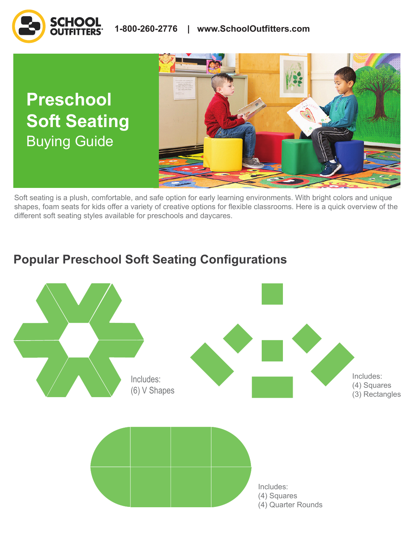



Soft seating is a plush, comfortable, and safe option for early learning environments. With bright colors and unique shapes, foam seats for kids offer a variety of creative options for flexible classrooms. Here is a quick overview of the different soft seating styles available for preschools and daycares.

# **Popular Preschool Soft Seating Configurations**

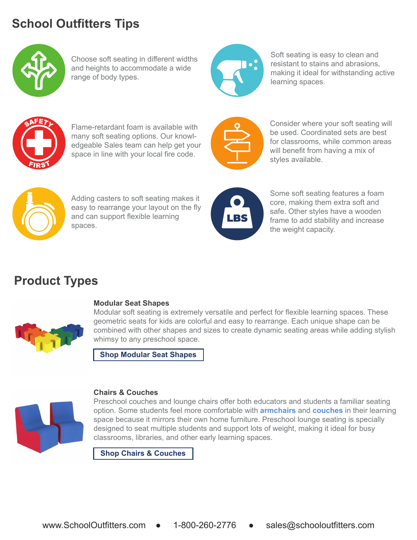# **School Outfitters Tips**



Choose soft seating in different widths and heights to accommodate a wide range of body types.



Soft seating is easy to clean and resistant to stains and abrasions, making it ideal for withstanding active learning spaces.



Flame-retardant foam is available with many soft seating options. Our knowledgeable Sales team can help get your space in line with your local fire code.



Consider where your soft seating will be used. Coordinated sets are best for classrooms, while common areas will benefit from having a mix of styles available.



Adding casters to soft seating makes it easy to rearrange your layout on the fly and can support flexible learning spaces.



Some soft seating features a foam core, making them extra soft and safe. Other styles have a wooden frame to add stability and increase the weight capacity.

# **Product Types**



### **Modular Seat Shapes**

Modular soft seating is extremely versatile and perfect for flexible learning spaces. These geometric seats for kids are colorful and easy to rearrange. Each unique shape can be combined with other shapes and sizes to create dynamic seating areas while adding stylish whimsy to any preschool space.

**[Shop Modular Seat Shapes](https://www.schooloutfitters.com/catalog/default/cPath/CAT5_CAT3314_CAT3946?page=viewall&view=grid&filter=v_Type_uFilter%3A%22Modular%20Shape%20Seating%22&sc_cid=BuyingGuide_BulletinBoards_ProductLinks_ShopModularSeatShapes)**



### **Chairs & Couches**

Preschool couches and lounge chairs offer both educators and students a familiar seating option. Some students feel more comfortable with **[armchairs](https://www.schooloutfitters.com/catalog/product_info/pfam_id/PFAM67881/products_id/PRO78355?sc_cid=BuyingGuide_PreschoolSoftSeating_ProductLinks_Armchairs)** and **[couches](https://www.schooloutfitters.com/catalog/product_info/pfam_id/PFAM67882/products_id/PRO78358?sc_cid=BuyingGuide_PreschoolSoftSeating_ProductLinks_Couches)** in their learning space because it mirrors their own home furniture. Preschool lounge seating is specially designed to seat multiple students and support lots of weight, making it ideal for busy classrooms, libraries, and other early learning spaces.

**[Shop Chairs & Couches](https://www.schooloutfitters.com/catalog/default/cPath/CAT5_CAT3314_CAT3946?page=1&view=grid&filter=v_Type_uFilter:%22Chairs%20%257E%20Couches%22&sc_cid=BuyingGuide_BulletinBoards_ProductLinks_ShopChairsandCouches)**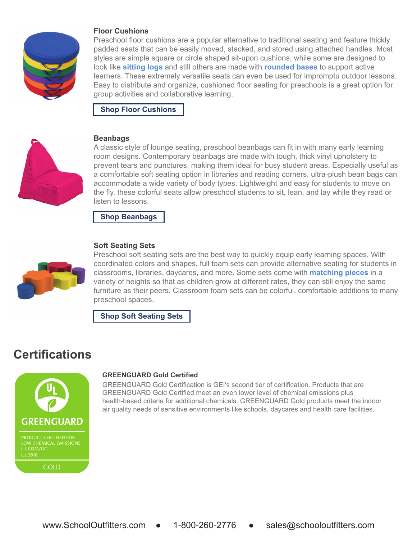

#### **Floor Cushions**

Preschool floor cushions are a popular alternative to traditional seating and feature thickly padded seats that can be easily moved, stacked, and stored using attached handles. Most styles are simple square or circle shaped sit-upon cushions, while some are designed to look like **[sitting logs](https://www.schooloutfitters.com/catalog/product_info/pfam_id/PFAM71049/products_id/PRO83200?sc_cid=BuyingGuide_PreschoolSoftSeating_ProductLinks_SittingLogs)** and still others are made with **[rounded bases](https://www.schooloutfitters.com/catalog/product_family_info/pfam_id/PFAM70284?sc_cid=BuyingGuide_PreschoolSoftSeating_ProductLinks_RoundedBases)** to support active learners. These extremely versatile seats can even be used for impromptu outdoor lessons. Easy to distribute and organize, cushioned floor seating for preschools is a great option for group activities and collaborative learning.

**[Shop Floor Cushions](https://www.schooloutfitters.com/catalog/default/cPath/CAT2_CAT3948?page=1&view=grid&filter=unbxd_custom_brand_uFilter:%22ECR4Kids%22%20OR%20unbxd_custom_brand_uFilter:%22Sprogs%22&sc_cid=BuyingGuide_BulletinBoards_ProductLinks_ShopFloorCushions)**



#### **Beanbags**

A classic style of lounge seating, preschool beanbags can fit in with many early learning room designs. Contemporary beanbags are made with tough, thick vinyl upholstery to prevent tears and punctures, making them ideal for busy student areas. Especially useful as a comfortable soft seating option in libraries and reading corners, ultra-plush bean bags can accommodate a wide variety of body types. Lightweight and easy for students to move on the fly, these colorful seats allow preschool students to sit, lean, and lay while they read or listen to lessons.

**[Shop Beanbags](https://www.schooloutfitters.com/catalog/search_results.php?keywords=bean%20bags&page=1&view=grid&filter=unbxd_custom_brand_uFilter:%22Sprogs%22&sc_cid=BuyingGuide_BulletinBoards_ProductLinks_ShopBeanbags)**



#### **Soft Seating Sets**

Preschool soft seating sets are the best way to quickly equip early learning spaces. With coordinated colors and shapes, full foam sets can provide alternative seating for students in classrooms, libraries, daycares, and more. Some sets come with **[matching pieces](https://www.schooloutfitters.com/catalog/product_info/pfam_id/PFAM70164/products_id/PRO81756?sc_cid=BuyingGuide_PreschoolSoftSeating_ProductLinks_MatchingPieces)** in a variety of heights so that as children grow at different rates, they can still enjoy the same furniture as their peers. Classroom foam sets can be colorful, comfortable additions to many preschool spaces.

**[Shop Soft Seating Sets](https://www.schooloutfitters.com/catalog/default/cPath/CAT5_CAT3314_CAT3946?page=viewall&view=grid&filter=v_Type_uFilter:%22Soft%20Seating%20Sets%22&sc_cid=BuyingGuide_BulletinBoards_ProductLinks_ShopSoftSeatingSets)**

## **Certifications**



#### **GREENGUARD Gold Certified**

GREENGUARD Gold Certification is GEI's second tier of certification. Products that are GREENGUARD Gold Certified meet an even lower level of chemical emissions plus health-based criteria for additional chemicals. GREENGUARD Gold products meet the indoor air quality needs of sensitive environments like schools, daycares and health care facilities.